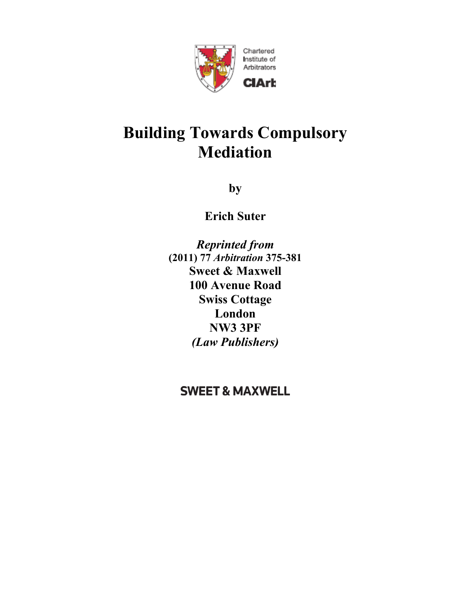

# **Building Towards Compulsory Mediation**

**by** 

**Erich Suter** 

*Reprinted from*  **(2011) 77** *Arbitration* **375-381 Sweet & Maxwell 100 Avenue Road Swiss Cottage London NW3 3PF**  *(Law Publishers)* 

**SWEET & MAXWELL**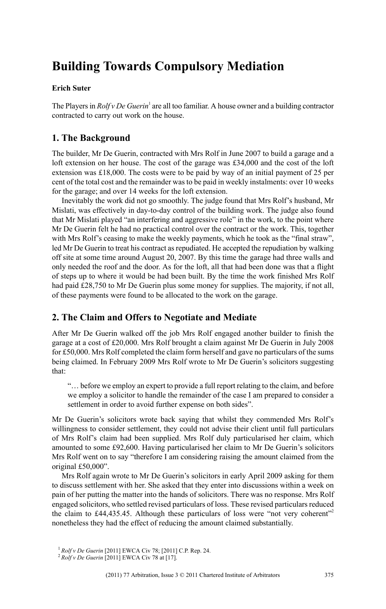# **Building Towards Compulsory Mediation**

#### **Erich Suter**

The Players in *Rolf v De Guerin*<sup>1</sup> are all too familiar. A house owner and a building contractor contracted to carry out work on the house.

# **1. The Background**

The builder, Mr De Guerin, contracted with Mrs Rolf in June 2007 to build a garage and a loft extension on her house. The cost of the garage was £34,000 and the cost of the loft extension was £18,000. The costs were to be paid by way of an initial payment of 25 per cent of the total cost and the remainder was to be paid in weekly instalments: over 10 weeks for the garage; and over 14 weeks for the loft extension.

Inevitably the work did not go smoothly. The judge found that Mrs Rolf's husband, Mr Mislati, was effectively in day-to-day control of the building work. The judge also found that Mr Mislati played "an interfering and aggressive role" in the work, to the point where Mr De Guerin felt he had no practical control over the contract or the work. This, together with Mrs Rolf's ceasing to make the weekly payments, which he took as the "final straw", led Mr De Guerin to treat his contract as repudiated. He accepted the repudiation by walking off site at some time around August 20, 2007. By this time the garage had three walls and only needed the roof and the door. As for the loft, all that had been done was that a flight of steps up to where it would be had been built. By the time the work finished Mrs Rolf had paid £28,750 to Mr De Guerin plus some money for supplies. The majority, if not all, of these payments were found to be allocated to the work on the garage.

# **2. The Claim and Offers to Negotiate and Mediate**

After Mr De Guerin walked off the job Mrs Rolf engaged another builder to finish the garage at a cost of £20,000. Mrs Rolf brought a claim against Mr De Guerin in July 2008 for £50,000. Mrs Rolf completed the claim form herself and gave no particulars of the sums being claimed. In February 2009 Mrs Rolf wrote to Mr De Guerin's solicitors suggesting that:

"… before we employ an expert to provide a full report relating to the claim, and before we employ a solicitor to handle the remainder of the case I am prepared to consider a settlement in order to avoid further expense on both sides".

Mr De Guerin's solicitors wrote back saying that whilst they commended Mrs Rolf's willingness to consider settlement, they could not advise their client until full particulars of Mrs Rolf's claim had been supplied. Mrs Rolf duly particularised her claim, which amounted to some £92,600. Having particularised her claim to Mr De Guerin's solicitors Mrs Rolf went on to say "therefore I am considering raising the amount claimed from the original £50,000".

Mrs Rolf again wrote to Mr De Guerin's solicitors in early April 2009 asking for them to discuss settlement with her. She asked that they enter into discussions within a week on pain of her putting the matter into the hands of solicitors. There was no response. Mrs Rolf engaged solicitors, who settled revised particulars of loss. These revised particulars reduced the claim to  $\text{\textsterling}44.435.45$ . Although these particulars of loss were "not very coherent"<sup>2</sup> nonetheless they had the effect of reducing the amount claimed substantially.

<sup>1</sup> *Rolf v De Guerin* [2011] EWCA Civ 78; [2011] C.P. Rep. 24.

<sup>2</sup> *Rolf v De Guerin* [2011] EWCA Civ 78 at [17].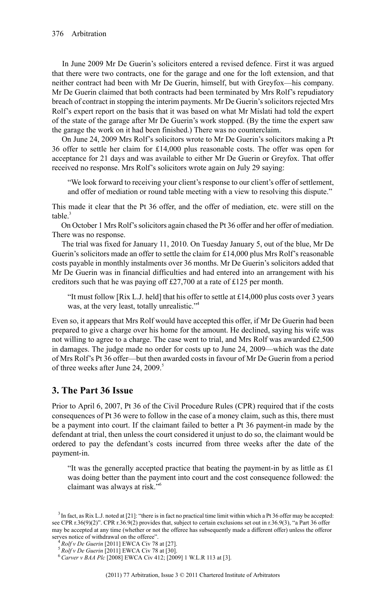In June 2009 Mr De Guerin's solicitors entered a revised defence. First it was argued that there were two contracts, one for the garage and one for the loft extension, and that neither contract had been with Mr De Guerin, himself, but with Greyfox—his company. Mr De Guerin claimed that both contracts had been terminated by Mrs Rolf's repudiatory breach of contract in stopping the interim payments. Mr De Guerin's solicitors rejected Mrs Rolf's expert report on the basis that it was based on what Mr Mislati had told the expert of the state of the garage after Mr De Guerin's work stopped. (By the time the expert saw the garage the work on it had been finished.) There was no counterclaim.

On June 24, 2009 Mrs Rolf's solicitors wrote to Mr De Guerin's solicitors making a Pt 36 offer to settle her claim for £14,000 plus reasonable costs. The offer was open for acceptance for 21 days and was available to either Mr De Guerin or Greyfox. That offer received no response. Mrs Rolf's solicitors wrote again on July 29 saying:

"We look forward to receiving your client's response to our client's offer of settlement, and offer of mediation or round table meeting with a view to resolving this dispute."

This made it clear that the Pt 36 offer, and the offer of mediation, etc. were still on the table $^3$ 

On October 1 Mrs Rolf'ssolicitors again chased the Pt 36 offer and her offer of mediation. There was no response.

The trial was fixed for January 11, 2010. On Tuesday January 5, out of the blue, Mr De Guerin's solicitors made an offer to settle the claim for £14,000 plus Mrs Rolf's reasonable costs payable in monthly instalments over 36 months. Mr De Guerin's solicitors added that Mr De Guerin was in financial difficulties and had entered into an arrangement with his creditors such that he was paying off £27,700 at a rate of £125 per month.

"It must follow [Rix L.J. held] that his offer to settle at £14,000 plus costs over 3 years was, at the very least, totally unrealistic."<sup>4</sup>

Even so, it appears that Mrs Rolf would have accepted this offer, if Mr De Guerin had been prepared to give a charge over his home for the amount. He declined, saying his wife was not willing to agree to a charge. The case went to trial, and Mrs Rolf was awarded £2,500 in damages. The judge made no order for costs up to June 24, 2009—which was the date of Mrs Rolf's Pt 36 offer—but then awarded costs in favour of Mr De Guerin from a period of three weeks after June 24, 2009.<sup>5</sup>

#### **3. The Part 36 Issue**

Prior to April 6, 2007, Pt 36 of the Civil Procedure Rules (CPR) required that if the costs consequences of Pt 36 were to follow in the case of a money claim, such as this, there must be a payment into court. If the claimant failed to better a Pt 36 payment-in made by the defendant at trial, then unless the court considered it unjust to do so, the claimant would be ordered to pay the defendant's costs incurred from three weeks after the date of the payment-in.

"It was the generally accepted practice that beating the payment-in by as little as £1 was doing better than the payment into court and the cost consequence followed: the claimant was always at risk."<sup>6</sup>

 $3$  In fact, as Rix L.J. noted at [21]: "there is in fact no practical time limit within which a Pt 36 offer may be accepted: see CPR r.36(9)(2)". CPR r.36.9(2) provides that, subject to certain exclusions set out in r.36.9(3), "a Part 36 offer may be accepted at any time (whether or not the offeree has subsequently made a different offer) unless the offeror serves notice of withdrawal on the offeree".

<sup>4</sup> *Rolf v De Guerin* [2011] EWCA Civ 78 at [27].

<sup>5</sup> *Rolf v De Guerin* [2011] EWCA Civ 78 at [30].

<sup>6</sup> *Carver v BAA Plc* [2008] EWCA Civ 412; [2009] 1 W.L.R 113 at [3].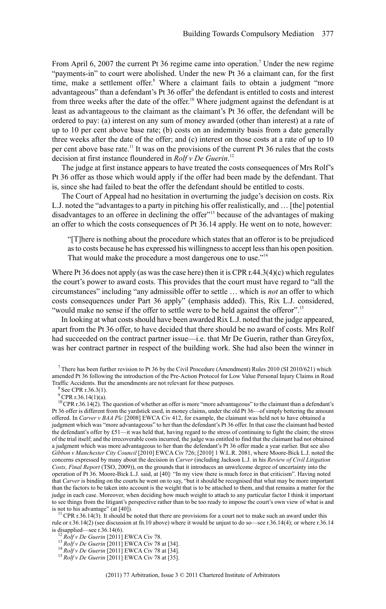From April 6, 2007 the current Pt 36 regime came into operation.<sup>7</sup> Under the new regime "payments-in" to court were abolished. Under the new Pt 36 a claimant can, for the first time, make a settlement offer. <sup>8</sup> Where a claimant fails to obtain a judgment "more advantageous" than a defendant's Pt 36 offer<sup>9</sup> the defendant is entitled to costs and interest from three weeks after the date of the offer.<sup>10</sup> Where judgment against the defendant is at least as advantageous to the claimant as the claimant's Pt 36 offer, the defendant will be ordered to pay: (a) interest on any sum of money awarded (other than interest) at a rate of up to 10 per cent above base rate; (b) costs on an indemnity basis from a date generally three weeks after the date of the offer; and (c) interest on those costs at a rate of up to 10 per cent above base rate.<sup>11</sup> It was on the provisions of the current Pt 36 rules that the costs decision at first instance floundered in *Rolf v De Guerin*. 12

The judge at first instance appears to have treated the costs consequences of Mrs Rolf's Pt 36 offer as those which would apply if the offer had been made by the defendant. That is, since she had failed to beat the offer the defendant should be entitled to costs.

The Court of Appeal had no hesitation in overturning the judge's decision on costs. Rix L.J. noted the "advantages to a party in pitching his offer realistically, and … [the] potential disadvantages to an offeree in declining the offer"<sup>13</sup> because of the advantages of making an offer to which the costs consequences of Pt 36.14 apply. He went on to note, however:

"[T]here is nothing about the procedure which states that an offeror is to be prejudiced asto costs because he has expressed his willingnessto accept lessthan his open position. That would make the procedure a most dangerous one to use."<sup>14</sup>

Where Pt 36 does not apply (as was the case here) then it is CPR r.44.3(4)(c) which regulates the court's power to award costs. This provides that the court must have regard to "all the circumstances" including "any admissible offer to settle … which is *not* an offer to which costs consequences under Part 36 apply" (emphasis added). This, Rix L.J. considered, "would make no sense if the offer to settle were to be held against the offeror".<sup>15</sup>

In looking at what costs should have been awarded Rix L.J. noted that the judge appeared, apart from the Pt 36 offer, to have decided that there should be no award of costs. Mrs Rolf had succeeded on the contract partner issue—i.e. that Mr De Guerin, rather than Greyfox, was her contract partner in respect of the building work. She had also been the winner in

<sup>7</sup> There has been further revision to Pt 36 by the Civil Procedure (Amendment) Rules 2010 (SI 2010/621) which amended Pt 36 following the introduction of the Pre-Action Protocol for Low Value Personal Injury Claims in Road Traffic Accidents. But the amendments are not relevant for these purposes.

 $8$  See CPR r.36.3(1).

 $^{9}$  CPR r.36.14(1)(a).

<sup>10</sup>CPR r.36.14(2). The question of whether an offer is more "more advantageous" to the claimant than a defendant's Pt 36 offer is different from the yardstick used, in money claims, under the old Pt 36—of simply bettering the amount offered. In *Carver v BAA Plc* [2008] EWCA Civ 412, for example, the claimant was held not to have obtained a judgment which was "more advantageous" to her than the defendant's Pt 36 offer. In that case the claimant had bested the defendant's offer by £51—it was held that, having regard to the stress of continuing to fight the claim; the stress of the trial itself; and the irrecoverable costs incurred, the judge was entitled to find that the claimant had not obtained a judgment which was more advantageous to her than the defendant's Pt 36 offer made a year earlier. But see also *Gibbon v Manchester City Council* [2010] EWCA Civ 726; [2010] 1 W.L.R. 2081, where Moore-Bick L.J. noted the concerns expressed by many about the decision in *Carver* (including Jackson L.J. in his *Review of Civil Litigation Costs, Final Report* (TSO, 2009)), on the grounds that it introduces an unwelcome degree of uncertainty into the operation of Pt 36. Moore-Bick L.J. said, at [40]: "In my view there is much force in that criticism". Having noted that *Carver* is binding on the courts he went on to say, "but it should be recognised that what may be more important than the factors to be taken into account is the weight that is to be attached to them, and that remains a matter for the judge in each case. Moreover, when deciding how much weight to attach to any particular factor I think it important to see things from the litigant's perspective rather than to be too ready to impose the court's own view of what is and is not to his advantage" (at [40]).

 $<sup>11</sup>$  CPR r.36.14(3). It should be noted that there are provisions for a court not to make such an award under this</sup> rule or r.36.14(2) (see discussion at fn.10 above) where it would be unjust to do so—see r.36.14(4); or where r.36.14 is disapplied—see r.36.14(6).

<sup>12</sup> *Rolf v De Guerin* [2011] EWCA Civ 78.

<sup>13</sup> *Rolf v De Guerin* [2011] EWCA Civ 78 at [34].

<sup>14</sup> *Rolf v De Guerin* [2011] EWCA Civ 78 at [34].

<sup>15</sup> *Rolf v De Guerin* [2011] EWCA Civ 78 at [35].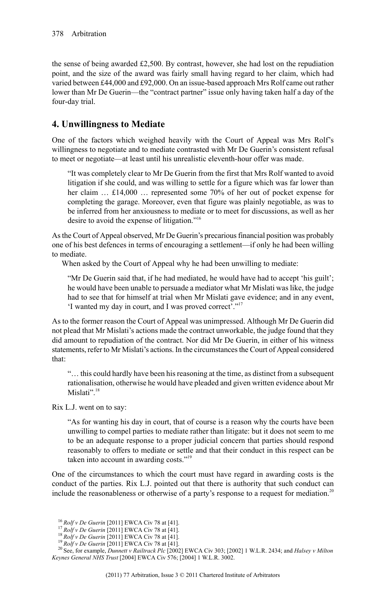the sense of being awarded £2,500. By contrast, however, she had lost on the repudiation point, and the size of the award was fairly small having regard to her claim, which had varied between £44,000 and £92,000. On an issue-based approach Mrs Rolf came out rather lower than Mr De Guerin—the "contract partner" issue only having taken half a day of the four-day trial.

### **4. Unwillingness to Mediate**

One of the factors which weighed heavily with the Court of Appeal was Mrs Rolf's willingness to negotiate and to mediate contrasted with Mr De Guerin's consistent refusal to meet or negotiate—at least until his unrealistic eleventh-hour offer was made.

"It was completely clear to Mr De Guerin from the first that Mrs Rolf wanted to avoid litigation if she could, and was willing to settle for a figure which was far lower than her claim ... £14,000 ... represented some 70% of her out of pocket expense for completing the garage. Moreover, even that figure was plainly negotiable, as was to be inferred from her anxiousness to mediate or to meet for discussions, as well as her desire to avoid the expense of litigation."<sup>16</sup>

Asthe Court of Appeal observed, Mr De Guerin's precariousfinancial position was probably one of his best defences in terms of encouraging a settlement—if only he had been willing to mediate.

When asked by the Court of Appeal why he had been unwilling to mediate:

"Mr De Guerin said that, if he had mediated, he would have had to accept 'his guilt'; he would have been unable to persuade a mediator what Mr Mislati was like, the judge had to see that for himself at trial when Mr Mislati gave evidence; and in any event, 'I wanted my day in court, and I was proved correct'."<sup>17</sup>

As to the former reason the Court of Appeal was unimpressed. Although Mr De Guerin did not plead that Mr Mislati's actions made the contract unworkable, the judge found that they did amount to repudiation of the contract. Nor did Mr De Guerin, in either of his witness statements, refer to Mr Mislati's actions. In the circumstances the Court of Appeal considered that:

"… this could hardly have been hisreasoning at the time, as distinct from a subsequent rationalisation, otherwise he would have pleaded and given written evidence about Mr Mislati".<sup>18</sup>

Rix L.J. went on to say:

"As for wanting his day in court, that of course is a reason why the courts have been unwilling to compel parties to mediate rather than litigate: but it does not seem to me to be an adequate response to a proper judicial concern that parties should respond reasonably to offers to mediate or settle and that their conduct in this respect can be taken into account in awarding costs."<sup>19</sup>

One of the circumstances to which the court must have regard in awarding costs is the conduct of the parties. Rix L.J. pointed out that there is authority that such conduct can include the reasonableness or otherwise of a party's response to a request for mediation.<sup>20</sup>

<sup>16</sup> *Rolf v De Guerin* [2011] EWCA Civ 78 at [41].

<sup>17</sup> *Rolf v De Guerin* [2011] EWCA Civ 78 at [41].

<sup>18</sup> *Rolf v De Guerin* [2011] EWCA Civ 78 at [41].

<sup>19</sup> *Rolf v De Guerin* [2011] EWCA Civ 78 at [41].

<sup>20</sup> See, for example, *Dunnett v Railtrack Plc* [2002] EWCA Civ 303; [2002] 1 W.L.R. 2434; and *Halsey v Milton Keynes General NHS Trust* [2004] EWCA Civ 576; [2004] 1 W.L.R. 3002.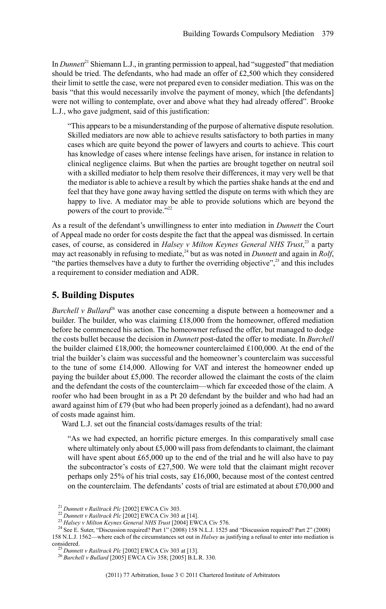In *Dunnett*<sup>21</sup> Shiemann L.J., in granting permission to appeal, had "suggested" that mediation should be tried. The defendants, who had made an offer of £2,500 which they considered their limit to settle the case, were not prepared even to consider mediation. This was on the basis "that this would necessarily involve the payment of money, which [the defendants] were not willing to contemplate, over and above what they had already offered". Brooke L.J., who gave judgment, said of this justification:

"This appears to be a misunderstanding of the purpose of alternative dispute resolution. Skilled mediators are now able to achieve results satisfactory to both parties in many cases which are quite beyond the power of lawyers and courts to achieve. This court has knowledge of cases where intense feelings have arisen, for instance in relation to clinical negligence claims. But when the parties are brought together on neutral soil with a skilled mediator to help them resolve their differences, it may very well be that the mediator is able to achieve a result by which the parties shake hands at the end and feel that they have gone away having settled the dispute on terms with which they are happy to live. A mediator may be able to provide solutions which are beyond the powers of the court to provide."<sup>22</sup>

As a result of the defendant's unwillingness to enter into mediation in *Dunnett* the Court of Appeal made no order for costs despite the fact that the appeal was dismissed. In certain cases, of course, as considered in *Halsey v Milton Keynes General NHS Trust*, <sup>23</sup> a party may act reasonably in refusing to mediate,<sup>24</sup> but as was noted in *Dunnett* and again in *Rolf*, "the parties themselves have a duty to further the overriding objective",<sup>25</sup> and this includes a requirement to consider mediation and ADR.

#### **5. Building Disputes**

*Burchell v Bullard* <sup>26</sup> was another case concerning a dispute between a homeowner and a builder. The builder, who was claiming £18,000 from the homeowner, offered mediation before he commenced his action. The homeowner refused the offer, but managed to dodge the costs bullet because the decision in *Dunnett* post-dated the offer to mediate. In *Burchell* the builder claimed £18,000; the homeowner counterclaimed £100,000. At the end of the trial the builder's claim was successful and the homeowner's counterclaim was successful to the tune of some £14,000. Allowing for VAT and interest the homeowner ended up paying the builder about  $£5,000$ . The recorder allowed the claimant the costs of the claim and the defendant the costs of the counterclaim—which far exceeded those of the claim. A roofer who had been brought in as a Pt 20 defendant by the builder and who had had an award against him of £79 (but who had been properly joined as a defendant), had no award of costs made against him.

Ward L.J. set out the financial costs/damages results of the trial:

"As we had expected, an horrific picture emerges. In this comparatively small case where ultimately only about  $£5,000$  will pass from defendants to claimant, the claimant will have spent about £65,000 up to the end of the trial and he will also have to pay the subcontractor's costs of £27,500. We were told that the claimant might recover perhaps only 25% of his trial costs, say £16,000, because most of the contest centred on the counterclaim. The defendants' costs of trial are estimated at about £70,000 and

<sup>21</sup> *Dunnett v Railtrack Plc* [2002] EWCA Civ 303.

<sup>22</sup> *Dunnett v Railtrack Plc* [2002] EWCA Civ 303 at [14].

<sup>23</sup> *Halsey v Milton Keynes General NHS Trust* [2004] EWCA Civ 576.

<sup>&</sup>lt;sup>24</sup> See E. Suter, "Discussion required? Part 1" (2008) 158 N.L.J. 1525 and "Discussion required? Part 2" (2008) 158 N.L.J. 1562—where each of the circumstances set out in *Halsey* as justifying a refusal to enter into mediation is considered.

<sup>25</sup> *Dunnett v Railtrack Plc* [2002] EWCA Civ 303 at [13].

<sup>26</sup> *Burchell v Bullard* [2005] EWCA Civ 358; [2005] B.L.R. 330.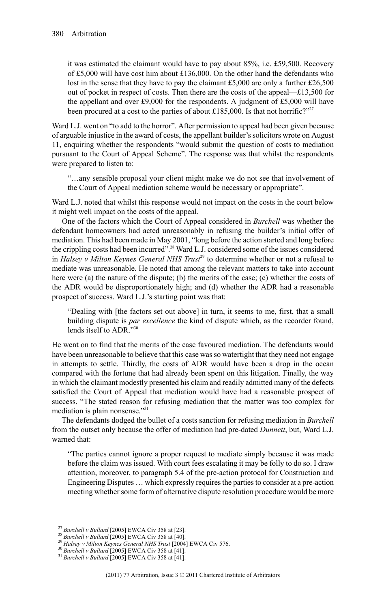it was estimated the claimant would have to pay about 85%, i.e. £59,500. Recovery of £5,000 will have cost him about £136,000. On the other hand the defendants who lost in the sense that they have to pay the claimant £5,000 are only a further £26,500 out of pocket in respect of costs. Then there are the costs of the appeal—£13,500 for the appellant and over £9,000 for the respondents. A judgment of £5,000 will have been procured at a cost to the parties of about £185,000. Is that not horrific?"<sup>27</sup>

Ward L.J. went on "to add to the horror". After permission to appeal had been given because of arguable injustice in the award of costs, the appellant builder's solicitors wrote on August 11, enquiring whether the respondents "would submit the question of costs to mediation pursuant to the Court of Appeal Scheme". The response was that whilst the respondents were prepared to listen to:

"…any sensible proposal your client might make we do not see that involvement of the Court of Appeal mediation scheme would be necessary or appropriate".

Ward L.J. noted that whilst this response would not impact on the costs in the court below it might well impact on the costs of the appeal.

One of the factors which the Court of Appeal considered in *Burchell* was whether the defendant homeowners had acted unreasonably in refusing the builder's initial offer of mediation. This had been made in May 2001, "long before the action started and long before the crippling costs had been incurred".<sup>28</sup> Ward L.J. considered some of the issues considered in *Halsey v Milton Keynes General NHS Trust*<sup>29</sup> to determine whether or not a refusal to mediate was unreasonable. He noted that among the relevant matters to take into account here were (a) the nature of the dispute; (b) the merits of the case; (c) whether the costs of the ADR would be disproportionately high; and (d) whether the ADR had a reasonable prospect of success. Ward L.J.'s starting point was that:

"Dealing with [the factors set out above] in turn, it seems to me, first, that a small building dispute is *par excellence* the kind of dispute which, as the recorder found, lends itself to ADR."30

He went on to find that the merits of the case favoured mediation. The defendants would have been unreasonable to believe that this case wasso watertight that they need not engage in attempts to settle. Thirdly, the costs of ADR would have been a drop in the ocean compared with the fortune that had already been spent on this litigation. Finally, the way in which the claimant modestly presented his claim and readily admitted many of the defects satisfied the Court of Appeal that mediation would have had a reasonable prospect of success. "The stated reason for refusing mediation that the matter was too complex for mediation is plain nonsense."<sup>31</sup>

The defendants dodged the bullet of a costs sanction for refusing mediation in *Burchell* from the outset only because the offer of mediation had pre-dated *Dunnett*, but, Ward L.J. warned that:

"The parties cannot ignore a proper request to mediate simply because it was made before the claim was issued. With court fees escalating it may be folly to do so. I draw attention, moreover, to paragraph 5.4 of the pre-action protocol for Construction and Engineering Disputes ... which expressly requires the parties to consider at a pre-action meeting whether some form of alternative dispute resolution procedure would be more

<sup>27</sup> *Burchell v Bullard* [2005] EWCA Civ 358 at [23].

<sup>28</sup> *Burchell v Bullard* [2005] EWCA Civ 358 at [40].

<sup>29</sup> *Halsey v Milton Keynes General NHS Trust* [2004] EWCA Civ 576.

<sup>30</sup> *Burchell v Bullard* [2005] EWCA Civ 358 at [41].

<sup>31</sup> *Burchell v Bullard* [2005] EWCA Civ 358 at [41].